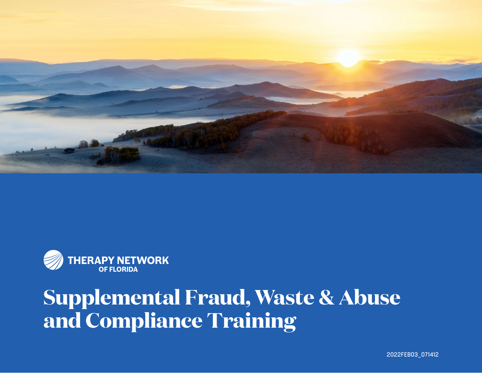

![](_page_0_Picture_1.jpeg)

## **Supplemental Fraud, Waste & Abuse and Compliance Training**

2022 FEB03 071412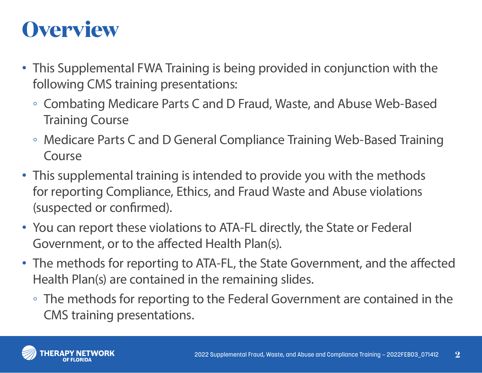## **Overview**

- This Supplemental FWA Training is being provided in conjunction with the following CMS training presentations:
	- Combating Medicare Parts C and D Fraud, Waste, and Abuse Web-Based Training Course
	- Medicare Parts C and D General Compliance Training Web-Based Training Course
- This supplemental training is intended to provide you with the methods for reporting Compliance, Ethics, and Fraud Waste and Abuse violations (suspected or confirmed).
- You can report these violations to ATA-FL directly, the State or Federal Government, or to the affected Health Plan(s).
- The methods for reporting to ATA-FL, the State Government, and the affected Health Plan(s) are contained in the remaining slides.
	- The methods for reporting to the Federal Government are contained in the CMS training presentations.

![](_page_1_Picture_8.jpeg)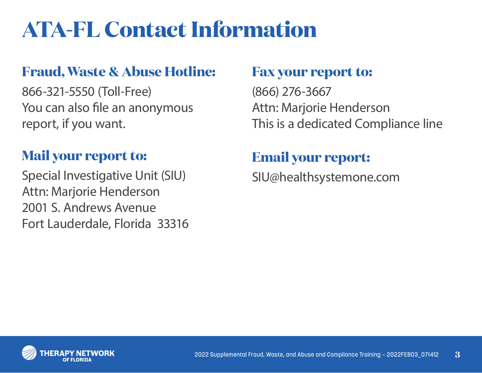# **ATA-FL Contact Information**

#### **Fraud, Waste & Abuse Hotline:**

866-321-5550 (Toll-Free) You can also file an anonymous report, if you want.

#### **Mail your report to:**

Special Investigative Unit (SIU) Attn: Marjorie Henderson 2001 S. Andrews Avenue Fort Lauderdale, Florida 33316

#### **Fax your report to:**

(866) 276-3667 Attn: Marjorie Henderson This is a dedicated Compliance line

### **Email your report:**

SIU@healthsystemone.com

![](_page_2_Picture_9.jpeg)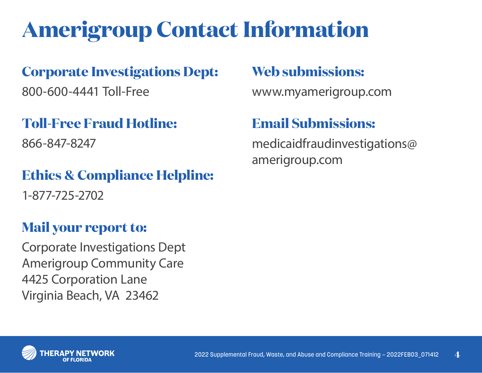# **Amerigroup Contact Information**

#### **Corporate Investigations Dept:**

800-600-4441 Toll-Free

## **Toll-Free Fraud Hotline:**

866-847-8247

## **Ethics & Compliance Helpline:**

1-877-725-2702

### **Mail your report to:**

Corporate Investigations Dept Amerigroup Community Care 4425 Corporation Lane Virginia Beach, VA 23462

### **Web submissions:**

www.myamerigroup.com

### **Email Submissions:**

medicaidfraudinvestigations@ amerigroup.com

![](_page_3_Picture_13.jpeg)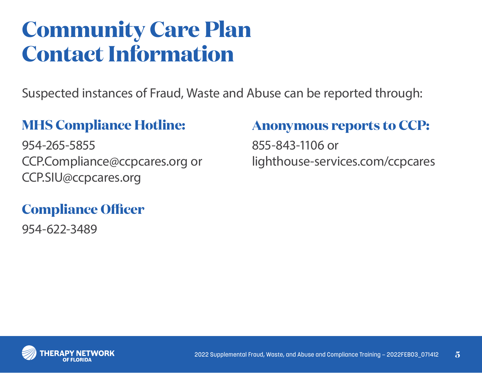## **Community Care Plan Contact Information**

Suspected instances of Fraud, Waste and Abuse can be reported through:

#### **MHS Compliance Hotline:**

954-265-5855 CCP.Compliance@ccpcares.org or CCP.SIU@ccpcares.org

#### **Compliance Officer**

954-622-3489

#### **Anonymous reports to CCP:**

855-843-1106 or lighthouse-services.com/ccpcares

![](_page_4_Picture_8.jpeg)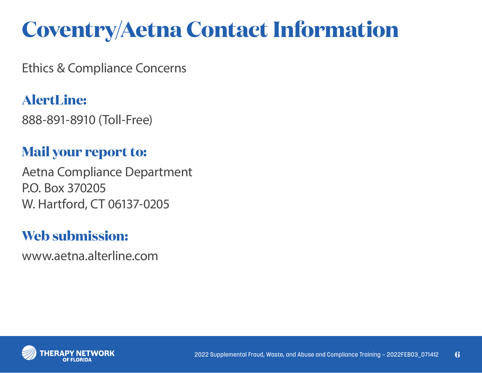# **Coventry/Aetna Contact Information**

Ethics & Compliance Concerns

## **AlertLine:**

888-891-8910 (Toll-Free)

#### **Mail your report to:**

Aetna Compliance Department P.O. Box 370205 W. Hartford, CT 06137-0205

#### **Web submission:**

www.aetna.alterline.com

![](_page_5_Picture_8.jpeg)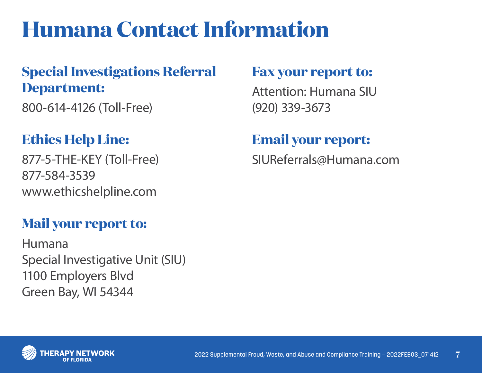## **Humana Contact Information**

### **Special Investigations Referral Department:**

800-614-4126 (Toll-Free)

### **Ethics Help Line:**

877-5-THE-KEY (Toll-Free) 877-584-3539 www.ethicshelpline.com

#### **Mail your report to:**

Humana Special Investigative Unit (SIU) 1100 Employers Blvd Green Bay, WI 54344

#### **Fax your report to:**

Attention: Humana SIU (920) 339-3673

#### **Email your report:**

SIUReferrals@Humana.com

![](_page_6_Picture_11.jpeg)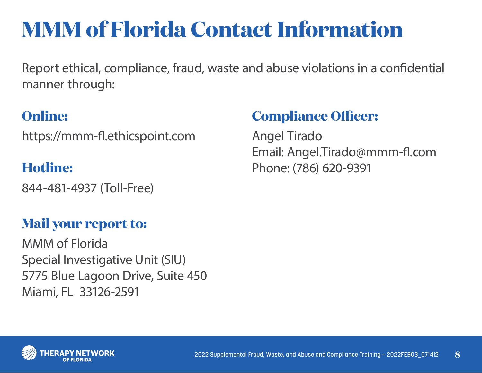# **MMM of Florida Contact Information**

Report ethical, compliance, fraud, waste and abuse violations in a confidential manner through:

### **Online:**

https://mmm-fl.ethicspoint.com

#### **Hotline:**

844-481-4937 (Toll-Free)

### **Mail your report to:**

MMM of Florida Special Investigative Unit (SIU) 5775 Blue Lagoon Drive, Suite 450 Miami, FL 33126-2591

## **Compliance Officer:**

Angel Tirado Email: Angel.Tirado@mmm-fl.com Phone: (786) 620-9391

![](_page_7_Picture_10.jpeg)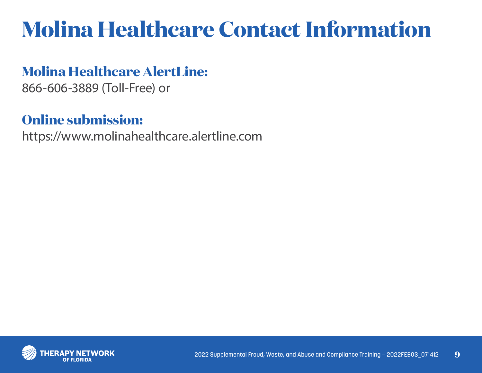# **Molina Healthcare Contact Information**

#### **Molina Healthcare AlertLine:**

866-606-3889 (Toll-Free) or

#### **Online submission:**

https://www.molinahealthcare.alertline.com

![](_page_8_Picture_5.jpeg)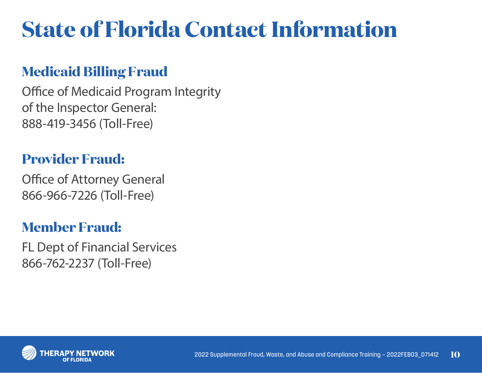# **State of Florida Contact Information**

#### **Medicaid Billing Fraud**

Office of Medicaid Program Integrity of the Inspector General: 888-419-3456 (Toll-Free)

#### **Provider Fraud:**

Office of Attorney General 866-966-7226 (Toll-Free)

#### **Member Fraud:**

FL Dept of Financial Services 866-762-2237 (Toll-Free)

![](_page_9_Picture_7.jpeg)